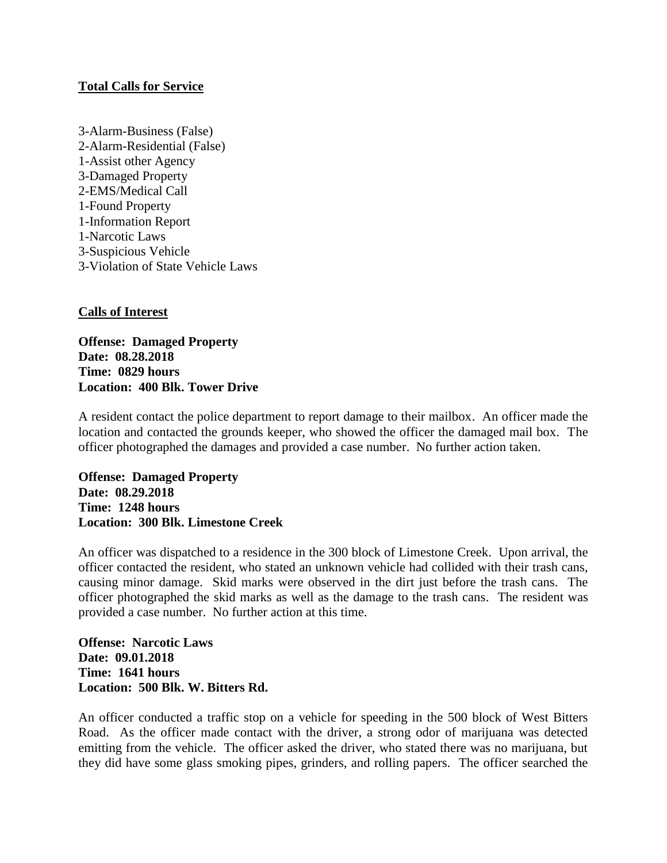## **Total Calls for Service**

3-Alarm-Business (False) 2-Alarm-Residential (False) 1-Assist other Agency 3-Damaged Property 2-EMS/Medical Call 1-Found Property 1-Information Report 1-Narcotic Laws 3-Suspicious Vehicle 3-Violation of State Vehicle Laws

## **Calls of Interest**

**Offense: Damaged Property Date: 08.28.2018 Time: 0829 hours Location: 400 Blk. Tower Drive**

A resident contact the police department to report damage to their mailbox. An officer made the location and contacted the grounds keeper, who showed the officer the damaged mail box. The officer photographed the damages and provided a case number. No further action taken.

**Offense: Damaged Property Date: 08.29.2018 Time: 1248 hours Location: 300 Blk. Limestone Creek**

An officer was dispatched to a residence in the 300 block of Limestone Creek. Upon arrival, the officer contacted the resident, who stated an unknown vehicle had collided with their trash cans, causing minor damage. Skid marks were observed in the dirt just before the trash cans. The officer photographed the skid marks as well as the damage to the trash cans. The resident was provided a case number. No further action at this time.

**Offense: Narcotic Laws Date: 09.01.2018 Time: 1641 hours Location: 500 Blk. W. Bitters Rd.**

An officer conducted a traffic stop on a vehicle for speeding in the 500 block of West Bitters Road. As the officer made contact with the driver, a strong odor of marijuana was detected emitting from the vehicle. The officer asked the driver, who stated there was no marijuana, but they did have some glass smoking pipes, grinders, and rolling papers. The officer searched the